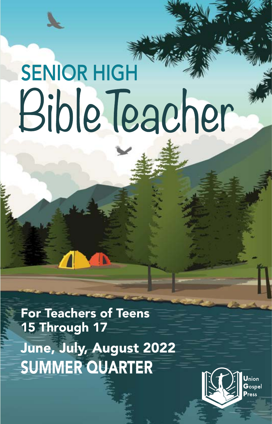# SENIOR HIGH Bible Teacher

June, July, August 2022 SUMMER QUARTER For Teachers of Teens 15 Through 17

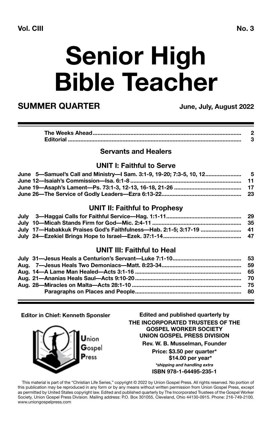## **Senior High Bible Teacher**

### **SUMMER QUARTER** June, July, August 2022

### **Servants and Healers**

#### **UNIT I: Faithful to Serve**

| June 19—Asaph's Lament—Ps. 73:1-3, 12-13, 16-18, 21-26 …………………………………………………………………… |  |
|-----------------------------------------------------------------------------------|--|
|                                                                                   |  |

### **UNIT II: Faithful to Prophesy**

| July 17—Habakkuk Praises God's Faithfulness—Hab. 2:1-5: 3:17-19 …………………………… 41 |  |
|--------------------------------------------------------------------------------|--|
|                                                                                |  |

#### **UNIT III: Faithful to Heal**

**Editor in Chief: Kenneth Sponsler**

Jnion  $\mathbf{G}_{\text{ospel}}$ Press

**Edited and published quarterly by THE INCORPORATED TRUSTEES OF THE GOSPEL WORKER SOCIETY UNION GOSPEL PRESS DIVISION Rev. W. B. Musselman, Founder**

**Price: \$3.50 per quarter\* \$14.00 per year\***

*\*shipping and handling extra* **ISBN 978-1-64495-235-1**

This material is part of the "Christian Life Series," copyright © 2022 by Union Gospel Press. All rights reserved. No portion of this publication may be reproduced in any form or by any means without written permission from Union Gospel Press, except as permitted by United States copyright law. Edited and published quarterly by The Incorporated Trustees of the Gospel Worker Society, Union Gospel Press Division. Mailing address: P.O. Box 301055, Cleveland, Ohio 44130-0915. Phone: 216-749-2100. www.uniongospelpress.com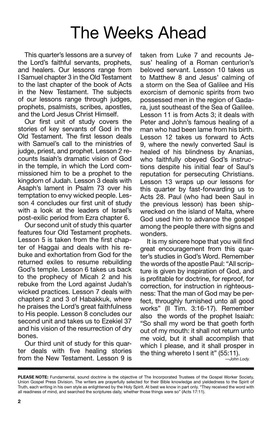### The Weeks Ahead

This quarter's lessons are a survey of the Lord's faithful servants, prophets, and healers. Our lessons range from I Samuel chapter 3 in the Old Testament to the last chapter of the book of Acts in the New Testament. The subjects of our lessons range through judges, prophets, psalmists, scribes, apostles, and the Lord Jesus Christ Himself.

Our first unit of study covers the stories of key servants of God in the Old Testament. The first lesson deals with Samuel's call to the ministries of judge, priest, and prophet. Lesson 2 recounts Isaiah's dramatic vision of God in the temple, in which the Lord commissioned him to be a prophet to the kingdom of Judah. Lesson 3 deals with Asaph's lament in Psalm 73 over his temptation to envy wicked people. Lesson 4 concludes our first unit of study with a look at the leaders of Israel's post-exilic period from Ezra chapter 6.

Our second unit of study this quarter features four Old Testament prophets. Lesson 5 is taken from the first chapter of Haggai and deals with his rebuke and exhortation from God for the returned exiles to resume rebuilding God's temple. Lesson 6 takes us back to the prophecy of Micah 2 and his rebuke from the Lord against Judah's wicked practices. Lesson 7 deals with chapters 2 and 3 of Habakkuk, where he praises the Lord's great faithfulness to His people. Lesson 8 concludes our second unit and takes us to Ezekiel 37 and his vision of the resurrection of dry bones.

Our third unit of study for this quarter deals with five healing stories from the New Testament. Lesson 9 is taken from Luke 7 and recounts Jesus' healing of a Roman centurion's beloved servant. Lesson 10 takes us to Matthew 8 and Jesus' calming of a storm on the Sea of Galilee and His exorcism of demonic spirits from two possessed men in the region of Gadara, just southeast of the Sea of Galilee. Lesson 11 is from Acts 3; it deals with Peter and John's famous healing of a man who had been lame from his birth. Lesson 12 takes us forward to Acts 9, where the newly converted Saul is healed of his blindness by Ananias, who faithfully obeyed God's instructions despite his initial fear of Saul's reputation for persecuting Christians. Lesson 13 wraps up our lessons for this quarter by fast-forwarding us to Acts 28. Paul (who had been Saul in the previous lesson) has been shipwrecked on the island of Malta, where God used him to advance the gospel among the people there with signs and wonders.

It is my sincere hope that you will find great encouragement from this quarter's studies in God's Word. Remember the words of the apostle Paul: "All scripture is given by inspiration of God, and is profitable for doctrine, for reproof, for correction, for instruction in righteousness: That the man of God may be perfect, throughly furnished unto all good works" (II Tim. 3:16-17). Remember also the words of the prophet Isaiah: "So shall my word be that goeth forth out of my mouth: it shall not return unto me void, but it shall accomplish that which I please, and it shall prosper in the thing whereto I sent it" (55:11).

*<sup>—</sup>John Lody.*

**PLEASE NOTE:** Fundamental, sound doctrine is the objective of The Incorporated Trustees of the Gospel Worker Society, Union Gospel Press Division. The writers are prayerfully selected for their Bible knowledge and yieldedness to the Spirit of Truth, each writing in his own style as enlightened by the Holy Spirit. At best we know in part only. "They received the word with all readiness of mind, and searched the scriptures daily, whether those things were so" (Acts 17:11).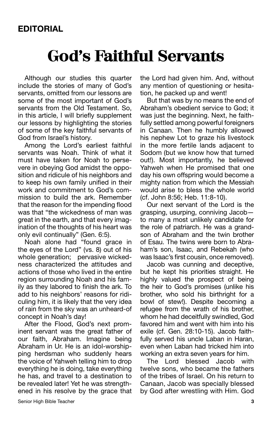### **God's Faithful Servants**

Although our studies this quarter include the stories of many of God's servants, omitted from our lessons are some of the most important of God's servants from the Old Testament. So, in this article, I will briefly supplement our lessons by highlighting the stories of some of the key faithful servants of God from Israel's history.

Among the Lord's earliest faithful servants was Noah. Think of what it must have taken for Noah to persevere in obeying God amidst the opposition and ridicule of his neighbors and to keep his own family unified in their work and commitment to God's commission to build the ark. Remember that the reason for the impending flood was that "the wickedness of man was great in the earth, and that every imagination of the thoughts of his heart was only evil continually" (Gen. 6:5).

Noah alone had "found grace in the eyes of the Lord" (vs. 8) out of his whole generation; pervasive wickedness characterized the attitudes and actions of those who lived in the entire region surrounding Noah and his family as they labored to finish the ark. To add to his neighbors' reasons for ridiculing him, it is likely that the very idea of rain from the sky was an unheard-of concept in Noah's day!

After the Flood, God's next prominent servant was the great father of our faith, Abraham. Imagine being Abraham in Ur. He is an idol-worshipping herdsman who suddenly hears the voice of Yahweh telling him to drop everything he is doing, take everything he has, and travel to a destination to be revealed later! Yet he was strengthened in his resolve by the grace that

the Lord had given him. And, without any mention of questioning or hesitation, he packed up and went!

But that was by no means the end of Abraham's obedient service to God; it was just the beginning. Next, he faithfully settled among powerful foreigners in Canaan. Then he humbly allowed his nephew Lot to graze his livestock in the more fertile lands adjacent to Sodom (but we know how that turned out!). Most importantly, he believed Yahweh when He promised that one day his own offspring would become a mighty nation from which the Messiah would arise to bless the whole world (cf. John 8:56; Heb. 11:8-10).

Our next servant of the Lord is the grasping, usurping, conniving Jacob to many a most unlikely candidate for the role of patriarch. He was a grandson of Abraham and the twin brother of Esau. The twins were born to Abraham's son, Isaac, and Rebekah (who was Isaac's first cousin, once removed).

Jacob was cunning and deceptive, but he kept his priorities straight. He highly valued the prospect of being the heir to God's promises (unlike his brother, who sold his birthright for a bowl of stew!). Despite becoming a refugee from the wrath of his brother, whom he had deceitfully swindled, God favored him and went with him into his exile (cf. Gen. 28:10-15). Jacob faithfully served his uncle Laban in Haran, even when Laban had tricked him into working an extra seven years for him.

The Lord blessed Jacob with twelve sons, who became the fathers of the tribes of Israel. On his return to Canaan, Jacob was specially blessed by God after wrestling with Him. God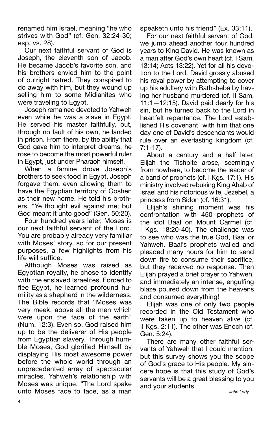renamed him Israel, meaning "he who strives with God" (cf. Gen. 32:24-30; esp. vs. 28).

Our next faithful servant of God is Joseph, the eleventh son of Jacob. He became Jacob's favorite son, and his brothers envied him to the point of outright hatred. They conspired to do away with him, but they wound up selling him to some Midianites who were traveling to Egypt.

Joseph remained devoted to Yahweh even while he was a slave in Egypt. He served his master faithfully, but, through no fault of his own, he landed in prison. From there, by the ability that God gave him to interpret dreams, he rose to become the most powerful ruler in Egypt, just under Pharaoh himself.

When a famine drove Joseph's brothers to seek food in Egypt, Joseph forgave them, even allowing them to have the Egyptian territory of Goshen as their new home. He told his brothers, "Ye thought evil against me; but God meant it unto good" (Gen. 50:20).

Four hundred years later, Moses is our next faithful servant of the Lord. You are probably already very familiar with Moses' story, so for our present purposes, a few highlights from his life will suffice.

Although Moses was raised as Egyptian royalty, he chose to identify with the enslaved Israelites. Forced to flee Egypt, he learned profound humility as a shepherd in the wilderness. The Bible records that "Moses was very meek, above all the men which were upon the face of the earth" (Num. 12:3). Even so, God raised him up to be the deliverer of His people from Egyptian slavery. Through humble Moses, God glorified Himself by displaying His most awesome power before the whole world through an unprecedented array of spectacular miracles. Yahweh's relationship with Moses was unique. "The Lord spake unto Moses face to face, as a man speaketh unto his friend" (Ex. 33:11).

For our next faithful servant of God, we jump ahead another four hundred years to King David. He was known as a man after God's own heart (cf. I Sam. 13:14; Acts 13:22). Yet for all his devotion to the Lord, David grossly abused his royal power by attempting to cover up his adultery with Bathsheba by having her husband murdered (cf. II Sam. 11:1—12:15). David paid dearly for his sin, but he turned back to the Lord in heartfelt repentance. The Lord established His covenant with him that one day one of David's descendants would rule over an everlasting kingdom (cf. 7:1-17).

About a century and a half later, Elijah the Tishbite arose, seemingly from nowhere, to become the leader of a band of prophets (cf. I Kgs. 17:1). His ministry involved rebuking King Ahab of Israel and his notorious wife, Jezebel, a princess from Sidon (cf. 16:31).

Elijah's shining moment was his confrontation with 450 prophets of the idol Baal on Mount Carmel (cf. I Kgs. 18:20-40). The challenge was to see who was the true God, Baal or Yahweh. Baal's prophets wailed and pleaded many hours for him to send down fire to consume their sacrifice, but they received no response. Then Elijah prayed a brief prayer to Yahweh, and immediately an intense, engulfing blaze poured down from the heavens and consumed everything!

Elijah was one of only two people recorded in the Old Testament who were taken up to heaven alive (cf. II Kgs. 2:11). The other was Enoch (cf. Gen. 5:24).

There are many other faithful servants of Yahweh that I could mention, but this survey shows you the scope of God's grace to His people. My sincere hope is that this study of God's servants will be a great blessing to you and your students.

*—John Lody.*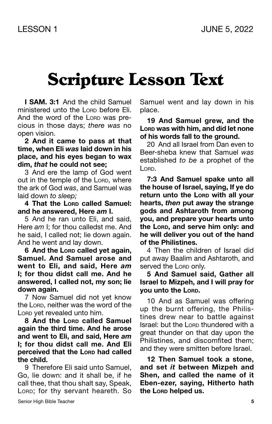### Scripture Lesson Text

**I SAM. 3:1** And the child Samuel ministered unto the Lorp before Eli. And the word of the LORD was precious in those days; *there was* no open vision.

**2 And it came to pass at that time, when Eli** *was* **laid down in his place, and his eyes began to wax dim,** *that* **he could not see;**

3 And ere the lamp of God went out in the temple of the Lorp, where the ark of God *was*, and Samuel was laid down *to sleep;*

**4 That the Lord called Samuel: and he answered, Here** *am* **I.**

5 And he ran unto Eli, and said, Here *am* I; for thou calledst me. And he said, I called not; lie down again. And he went and lay down.

**6** And the Lorp called yet again. **Samuel. And Samuel arose and went to Eli, and said, Here** *am* **I; for thou didst call me. And he answered, I called not, my son; lie down again.**

7 Now Samuel did not yet know the Lorp, neither was the word of the Lorp yet revealed unto him.

**8 And the Lord called Samuel again the third time. And he arose and went to Eli, and said, Here** *am* **I; for thou didst call me. And Eli perceived that the Lord had called the child.**

9 Therefore Eli said unto Samuel, Go, lie down: and it shall be, if he call thee, that thou shalt say, Speak, LORD; for thy servant heareth. So

Samuel went and lay down in his place.

**19 And Samuel grew, and the Lord was with him, and did let none of his words fall to the ground.**

20 And all Israel from Dan even to Beer-sheba knew that Samuel *was* established *to be* a prophet of the L<sub>ORD</sub>.

**7:3 And Samuel spake unto all the house of Israel, saying, If ye do return unto the Lorp with all your hearts,** *then* **put away the strange gods and Ashtaroth from among you, and prepare your hearts unto the Lord, and serve him only: and he will deliver you out of the hand of the Philistines.**

4 Then the children of Israel did put away Baalim and Ashtaroth, and served the Lorp only.

#### **5 And Samuel said, Gather all Israel to Mizpeh, and I will pray for you unto the Lord.**

10 And as Samuel was offering up the burnt offering, the Philistines drew near to battle against Israel: but the Lorp thundered with a great thunder on that day upon the Philistines, and discomfited them; and they were smitten before Israel.

**12 Then Samuel took a stone, and set** *it* **between Mizpeh and Shen, and called the name of it Eben-ezer, saying, Hitherto hath the Lord helped us.**